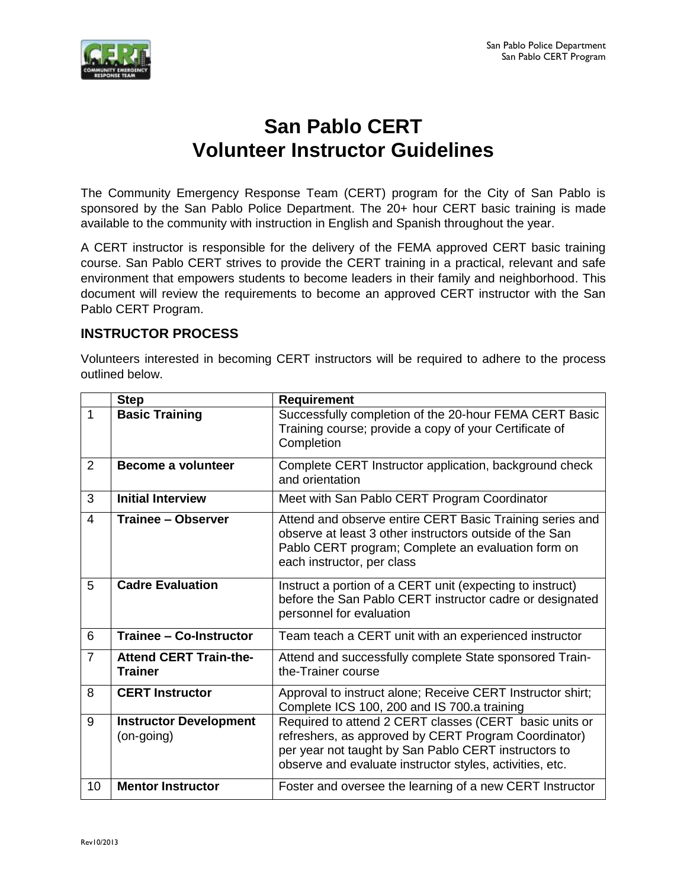

# **San Pablo CERT Volunteer Instructor Guidelines**

The Community Emergency Response Team (CERT) program for the City of San Pablo is sponsored by the San Pablo Police Department. The 20+ hour CERT basic training is made available to the community with instruction in English and Spanish throughout the year.

A CERT instructor is responsible for the delivery of the FEMA approved CERT basic training course. San Pablo CERT strives to provide the CERT training in a practical, relevant and safe environment that empowers students to become leaders in their family and neighborhood. This document will review the requirements to become an approved CERT instructor with the San Pablo CERT Program.

### **INSTRUCTOR PROCESS**

Volunteers interested in becoming CERT instructors will be required to adhere to the process outlined below.

|                | <b>Step</b>                                     | <b>Requirement</b>                                                                                                                                                                                                                 |
|----------------|-------------------------------------------------|------------------------------------------------------------------------------------------------------------------------------------------------------------------------------------------------------------------------------------|
| 1              | <b>Basic Training</b>                           | Successfully completion of the 20-hour FEMA CERT Basic<br>Training course; provide a copy of your Certificate of<br>Completion                                                                                                     |
| 2              | <b>Become a volunteer</b>                       | Complete CERT Instructor application, background check<br>and orientation                                                                                                                                                          |
| 3              | <b>Initial Interview</b>                        | Meet with San Pablo CERT Program Coordinator                                                                                                                                                                                       |
| 4              | Trainee – Observer                              | Attend and observe entire CERT Basic Training series and<br>observe at least 3 other instructors outside of the San<br>Pablo CERT program; Complete an evaluation form on<br>each instructor, per class                            |
| 5              | <b>Cadre Evaluation</b>                         | Instruct a portion of a CERT unit (expecting to instruct)<br>before the San Pablo CERT instructor cadre or designated<br>personnel for evaluation                                                                                  |
| 6              | <b>Trainee - Co-Instructor</b>                  | Team teach a CERT unit with an experienced instructor                                                                                                                                                                              |
| $\overline{7}$ | <b>Attend CERT Train-the-</b><br><b>Trainer</b> | Attend and successfully complete State sponsored Train-<br>the-Trainer course                                                                                                                                                      |
| 8              | <b>CERT Instructor</b>                          | Approval to instruct alone; Receive CERT Instructor shirt;<br>Complete ICS 100, 200 and IS 700.a training                                                                                                                          |
| 9              | <b>Instructor Development</b><br>(on-going)     | Required to attend 2 CERT classes (CERT basic units or<br>refreshers, as approved by CERT Program Coordinator)<br>per year not taught by San Pablo CERT instructors to<br>observe and evaluate instructor styles, activities, etc. |
| 10             | <b>Mentor Instructor</b>                        | Foster and oversee the learning of a new CERT Instructor                                                                                                                                                                           |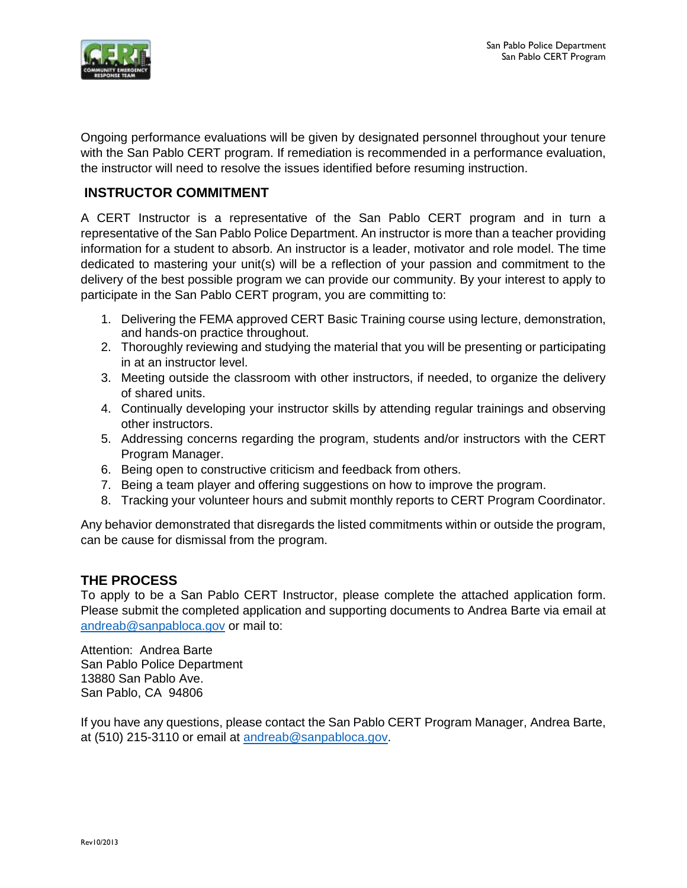

Ongoing performance evaluations will be given by designated personnel throughout your tenure with the San Pablo CERT program. If remediation is recommended in a performance evaluation, the instructor will need to resolve the issues identified before resuming instruction.

## **INSTRUCTOR COMMITMENT**

A CERT Instructor is a representative of the San Pablo CERT program and in turn a representative of the San Pablo Police Department. An instructor is more than a teacher providing information for a student to absorb. An instructor is a leader, motivator and role model. The time dedicated to mastering your unit(s) will be a reflection of your passion and commitment to the delivery of the best possible program we can provide our community. By your interest to apply to participate in the San Pablo CERT program, you are committing to:

- 1. Delivering the FEMA approved CERT Basic Training course using lecture, demonstration, and hands-on practice throughout.
- 2. Thoroughly reviewing and studying the material that you will be presenting or participating in at an instructor level.
- 3. Meeting outside the classroom with other instructors, if needed, to organize the delivery of shared units.
- 4. Continually developing your instructor skills by attending regular trainings and observing other instructors.
- 5. Addressing concerns regarding the program, students and/or instructors with the CERT Program Manager.
- 6. Being open to constructive criticism and feedback from others.
- 7. Being a team player and offering suggestions on how to improve the program.
- 8. Tracking your volunteer hours and submit monthly reports to CERT Program Coordinator.

Any behavior demonstrated that disregards the listed commitments within or outside the program, can be cause for dismissal from the program.

### **THE PROCESS**

To apply to be a San Pablo CERT Instructor, please complete the attached application form. Please submit the completed application and supporting documents to Andrea Barte via email at [andreab@sanpabloca.gov](mailto:andreab@sanpabloca.gov) or mail to:

Attention: Andrea Barte San Pablo Police Department 13880 San Pablo Ave. San Pablo, CA 94806

If you have any questions, please contact the San Pablo CERT Program Manager, Andrea Barte, at (510) 215-3110 or email at [andreab@sanpabloca.gov.](mailto:andreab@sanpabloca.gov)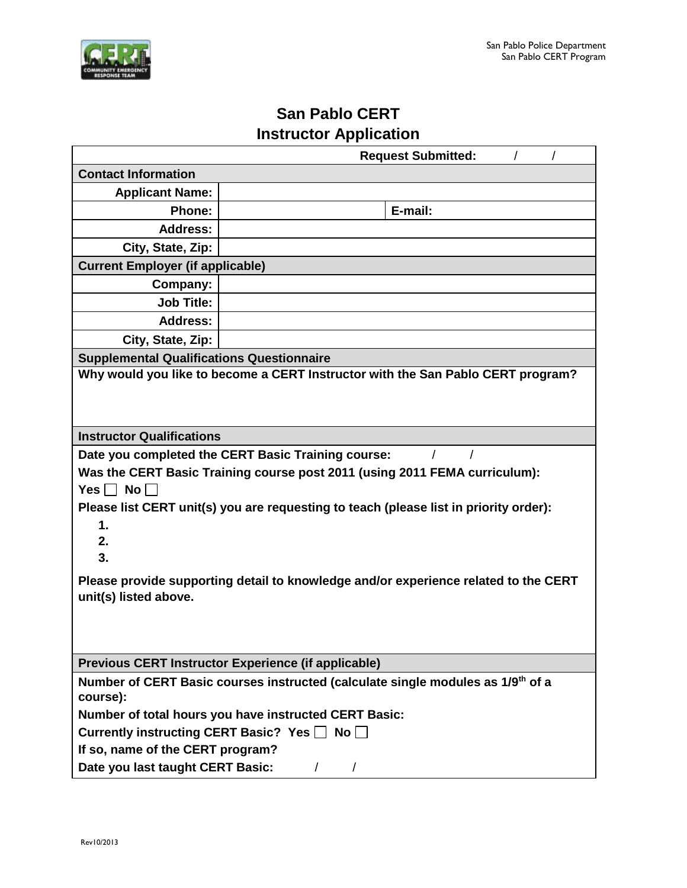

# **San Pablo CERT Instructor Application**

| <b>Request Submitted:</b>                                                                                    |                                                                            |                                                                                       |  |  |
|--------------------------------------------------------------------------------------------------------------|----------------------------------------------------------------------------|---------------------------------------------------------------------------------------|--|--|
| <b>Contact Information</b>                                                                                   |                                                                            |                                                                                       |  |  |
| <b>Applicant Name:</b>                                                                                       |                                                                            |                                                                                       |  |  |
| <b>Phone:</b>                                                                                                |                                                                            | E-mail:                                                                               |  |  |
| <b>Address:</b>                                                                                              |                                                                            |                                                                                       |  |  |
| City, State, Zip:                                                                                            |                                                                            |                                                                                       |  |  |
| <b>Current Employer (if applicable)</b>                                                                      |                                                                            |                                                                                       |  |  |
| Company:                                                                                                     |                                                                            |                                                                                       |  |  |
| <b>Job Title:</b>                                                                                            |                                                                            |                                                                                       |  |  |
| <b>Address:</b>                                                                                              |                                                                            |                                                                                       |  |  |
| City, State, Zip:                                                                                            |                                                                            |                                                                                       |  |  |
| <b>Supplemental Qualifications Questionnaire</b>                                                             |                                                                            |                                                                                       |  |  |
| Why would you like to become a CERT Instructor with the San Pablo CERT program?                              |                                                                            |                                                                                       |  |  |
|                                                                                                              |                                                                            |                                                                                       |  |  |
| <b>Instructor Qualifications</b>                                                                             |                                                                            |                                                                                       |  |  |
|                                                                                                              | Date you completed the CERT Basic Training course:                         |                                                                                       |  |  |
|                                                                                                              | Was the CERT Basic Training course post 2011 (using 2011 FEMA curriculum): |                                                                                       |  |  |
| Yes $\Box$ No $\Box$                                                                                         |                                                                            |                                                                                       |  |  |
|                                                                                                              |                                                                            | Please list CERT unit(s) you are requesting to teach (please list in priority order): |  |  |
| 1.                                                                                                           |                                                                            |                                                                                       |  |  |
| 2.                                                                                                           |                                                                            |                                                                                       |  |  |
| 3.                                                                                                           |                                                                            |                                                                                       |  |  |
| Please provide supporting detail to knowledge and/or experience related to the CERT<br>unit(s) listed above. |                                                                            |                                                                                       |  |  |
|                                                                                                              |                                                                            |                                                                                       |  |  |
| Previous CERT Instructor Experience (if applicable)                                                          |                                                                            |                                                                                       |  |  |
| Number of CERT Basic courses instructed (calculate single modules as 1/9 <sup>th</sup> of a<br>course):      |                                                                            |                                                                                       |  |  |
| Number of total hours you have instructed CERT Basic:                                                        |                                                                            |                                                                                       |  |  |
| Currently instructing CERT Basic? Yes □ No                                                                   |                                                                            |                                                                                       |  |  |
| If so, name of the CERT program?                                                                             |                                                                            |                                                                                       |  |  |
| Date you last taught CERT Basic:<br>$\sqrt{2}$<br>$\prime$                                                   |                                                                            |                                                                                       |  |  |